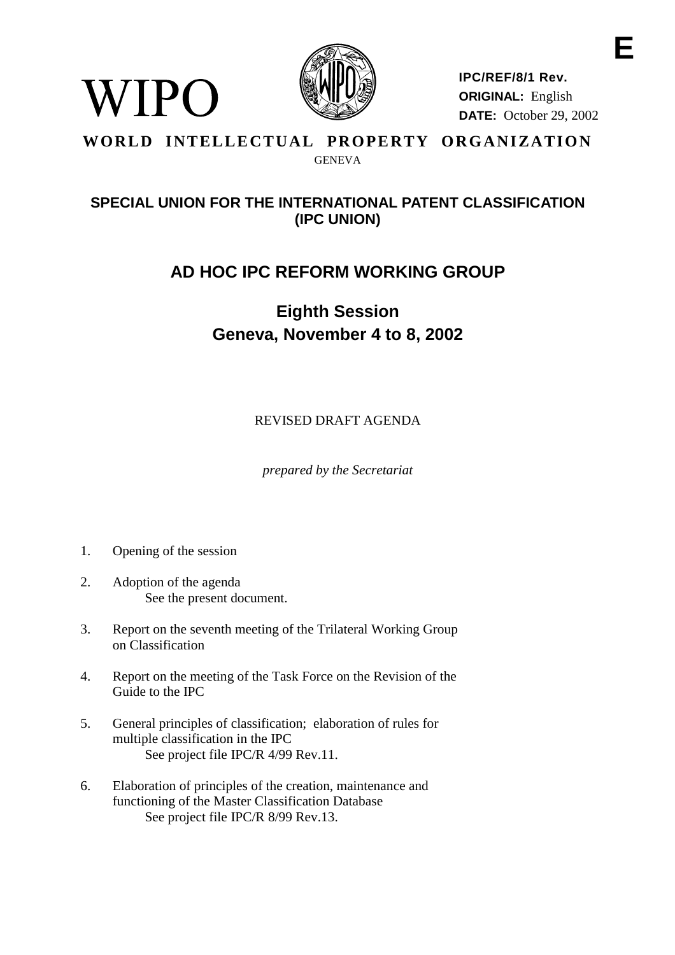

**IPC/REF/8/1 Rev. ORIGINAL:** English **DATE:** October 29, 2002

#### **WORLD INTELLECTUAL PROPERTY ORGANIZATION** GENEVA

### **SPECIAL UNION FOR THE INTERNATIONAL PATENT CLASSIFICATION (IPC UNION)**

## **AD HOC IPC REFORM WORKING GROUP**

# **Eighth Session Geneva, November 4 to 8, 2002**

REVISED DRAFT AGENDA

*prepared by the Secretariat*

1. Opening of the session

WIPO

- 2. Adoption of the agenda See the present document.
- 3. Report on the seventh meeting of the Trilateral Working Group on Classification
- 4. Report on the meeting of the Task Force on the Revision of the Guide to the IPC
- 5. General principles of classification; elaboration of rules for multiple classification in the IPC See project file IPC/R 4/99 Rev.11.
- 6. Elaboration of principles of the creation, maintenance and functioning of the Master Classification Database See project file IPC/R 8/99 Rev.13.